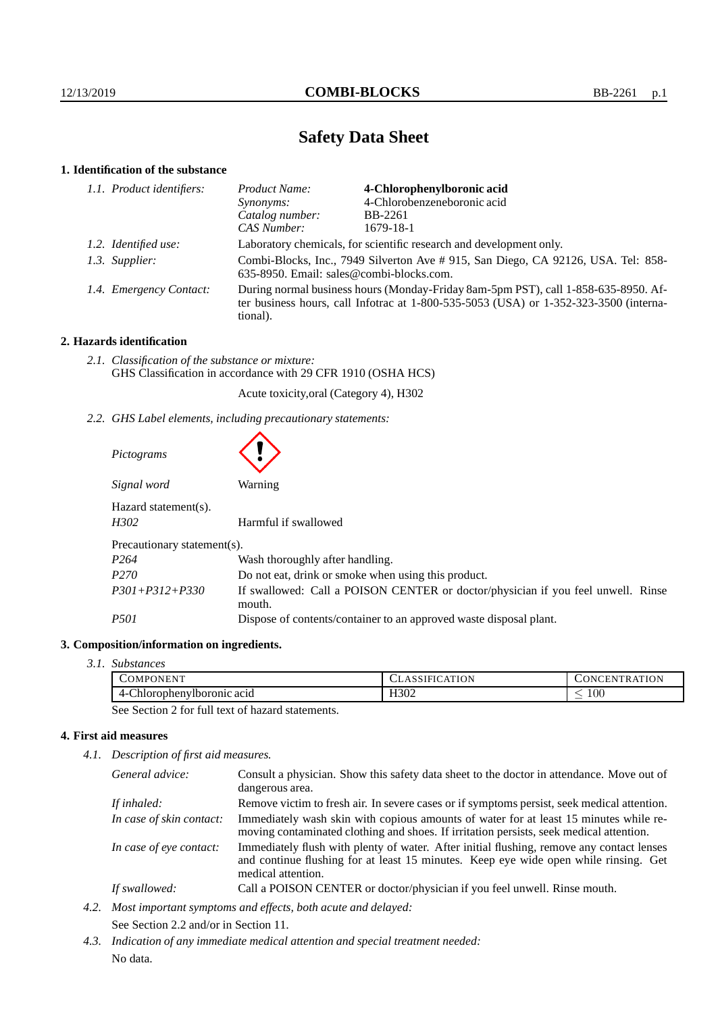# **Safety Data Sheet**

# **1. Identification of the substance**

| 1.1. Product identifiers: | Product Name:                                                                                                                                                                           | 4-Chlorophenylboronic acid  |  |
|---------------------------|-----------------------------------------------------------------------------------------------------------------------------------------------------------------------------------------|-----------------------------|--|
|                           | Synonyms:                                                                                                                                                                               | 4-Chlorobenzeneboronic acid |  |
|                           | Catalog number:                                                                                                                                                                         | BB-2261                     |  |
|                           | CAS Number:                                                                                                                                                                             | 1679-18-1                   |  |
| 1.2. Identified use:      | Laboratory chemicals, for scientific research and development only.                                                                                                                     |                             |  |
| 1.3. Supplier:            | Combi-Blocks, Inc., 7949 Silverton Ave # 915, San Diego, CA 92126, USA. Tel: 858-<br>635-8950. Email: sales@combi-blocks.com.                                                           |                             |  |
| 1.4. Emergency Contact:   | During normal business hours (Monday-Friday 8am-5pm PST), call 1-858-635-8950. Af-<br>ter business hours, call Infotrac at 1-800-535-5053 (USA) or 1-352-323-3500 (interna-<br>tional). |                             |  |

# **2. Hazards identification**

*2.1. Classification of the substance or mixture:* GHS Classification in accordance with 29 CFR 1910 (OSHA HCS)

Acute toxicity,oral (Category 4), H302

*2.2. GHS Label elements, including precautionary statements:*

| Pictograms                                              |                                                                                            |  |  |
|---------------------------------------------------------|--------------------------------------------------------------------------------------------|--|--|
| Signal word                                             | Warning                                                                                    |  |  |
| $Hazard statement(s)$ .<br>H302<br>Harmful if swallowed |                                                                                            |  |  |
| Precautionary statement(s).                             |                                                                                            |  |  |
| P <sub>264</sub>                                        | Wash thoroughly after handling.                                                            |  |  |
| P <sub>270</sub>                                        | Do not eat, drink or smoke when using this product.                                        |  |  |
| $P301 + P312 + P330$                                    | If swallowed: Call a POISON CENTER or doctor/physician if you feel unwell. Rinse<br>mouth. |  |  |
| <i>P501</i>                                             | Dispose of contents/container to an approved waste disposal plant.                         |  |  |

# **3. Composition/information on ingredients.**

*3.1. Substances*

| $\overline{ }$<br><b>COMPONENT</b> | -<br>N<br><b>ULADJI</b><br>1 U 1 V | ATION<br>.<br>$\mathbf{N}$<br>к<br>$\mathbf{r}$ |
|------------------------------------|------------------------------------|-------------------------------------------------|
| prophenylboromic acid              | H <sub>3</sub> 02                  | $100^{\circ}$                                   |
| $\Delta$                           | ____                               | _                                               |

See Section 2 for full text of hazard statements.

# **4. First aid measures**

*4.1. Description of first aid measures.*

| General advice:          | Consult a physician. Show this safety data sheet to the doctor in attendance. Move out of<br>dangerous area.                                                                                            |
|--------------------------|---------------------------------------------------------------------------------------------------------------------------------------------------------------------------------------------------------|
| If inhaled:              | Remove victim to fresh air. In severe cases or if symptoms persist, seek medical attention.                                                                                                             |
| In case of skin contact: | Immediately wash skin with copious amounts of water for at least 15 minutes while re-<br>moving contaminated clothing and shoes. If irritation persists, seek medical attention.                        |
| In case of eye contact:  | Immediately flush with plenty of water. After initial flushing, remove any contact lenses<br>and continue flushing for at least 15 minutes. Keep eye wide open while rinsing. Get<br>medical attention. |
| If swallowed:            | Call a POISON CENTER or doctor/physician if you feel unwell. Rinse mouth.                                                                                                                               |

- *4.2. Most important symptoms and effects, both acute and delayed:* See Section 2.2 and/or in Section 11.
- *4.3. Indication of any immediate medical attention and special treatment needed:* No data.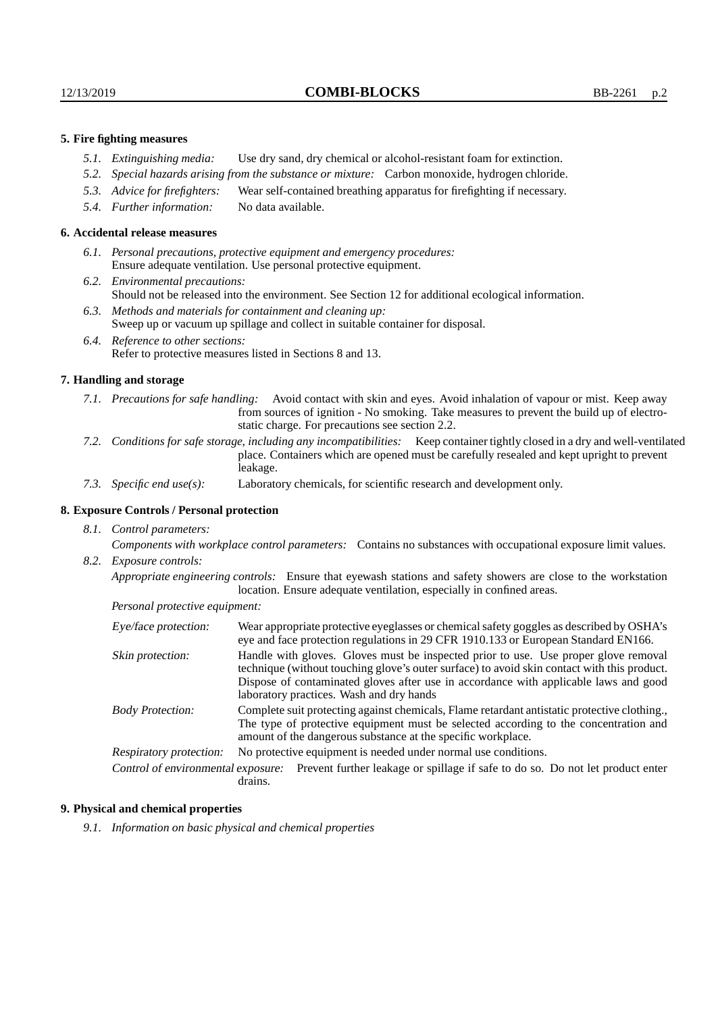### **5. Fire fighting measures**

- *5.1. Extinguishing media:* Use dry sand, dry chemical or alcohol-resistant foam for extinction.
- *5.2. Special hazards arising from the substance or mixture:* Carbon monoxide, hydrogen chloride.
- *5.3. Advice for firefighters:* Wear self-contained breathing apparatus for firefighting if necessary.
- *5.4. Further information:* No data available.

#### **6. Accidental release measures**

- *6.1. Personal precautions, protective equipment and emergency procedures:* Ensure adequate ventilation. Use personal protective equipment.
- *6.2. Environmental precautions:* Should not be released into the environment. See Section 12 for additional ecological information.
- *6.3. Methods and materials for containment and cleaning up:* Sweep up or vacuum up spillage and collect in suitable container for disposal.
- *6.4. Reference to other sections:* Refer to protective measures listed in Sections 8 and 13.

#### **7. Handling and storage**

- *7.1. Precautions for safe handling:* Avoid contact with skin and eyes. Avoid inhalation of vapour or mist. Keep away from sources of ignition - No smoking. Take measures to prevent the build up of electrostatic charge. For precautions see section 2.2.
- *7.2. Conditions for safe storage, including any incompatibilities:* Keep container tightly closed in a dry and well-ventilated place. Containers which are opened must be carefully resealed and kept upright to prevent leakage.
- *7.3. Specific end use(s):* Laboratory chemicals, for scientific research and development only.

# **8. Exposure Controls / Personal protection**

*8.1. Control parameters:*

*Components with workplace control parameters:* Contains no substances with occupational exposure limit values. *8.2. Exposure controls:*

*Appropriate engineering controls:* Ensure that eyewash stations and safety showers are close to the workstation location. Ensure adequate ventilation, especially in confined areas.

*Personal protective equipment:*

| Eye/face protection:               | Wear appropriate protective eyeglasses or chemical safety goggles as described by OSHA's<br>eye and face protection regulations in 29 CFR 1910.133 or European Standard EN166.                                                                                                                                         |  |
|------------------------------------|------------------------------------------------------------------------------------------------------------------------------------------------------------------------------------------------------------------------------------------------------------------------------------------------------------------------|--|
| Skin protection:                   | Handle with gloves. Gloves must be inspected prior to use. Use proper glove removal<br>technique (without touching glove's outer surface) to avoid skin contact with this product.<br>Dispose of contaminated gloves after use in accordance with applicable laws and good<br>laboratory practices. Wash and dry hands |  |
| <b>Body Protection:</b>            | Complete suit protecting against chemicals, Flame retardant antistatic protective clothing.<br>The type of protective equipment must be selected according to the concentration and<br>amount of the dangerous substance at the specific workplace.                                                                    |  |
| Respiratory protection:            | No protective equipment is needed under normal use conditions.                                                                                                                                                                                                                                                         |  |
| Control of environmental exposure: | Prevent further leakage or spillage if safe to do so. Do not let product enter<br>drains.                                                                                                                                                                                                                              |  |

#### **9. Physical and chemical properties**

*9.1. Information on basic physical and chemical properties*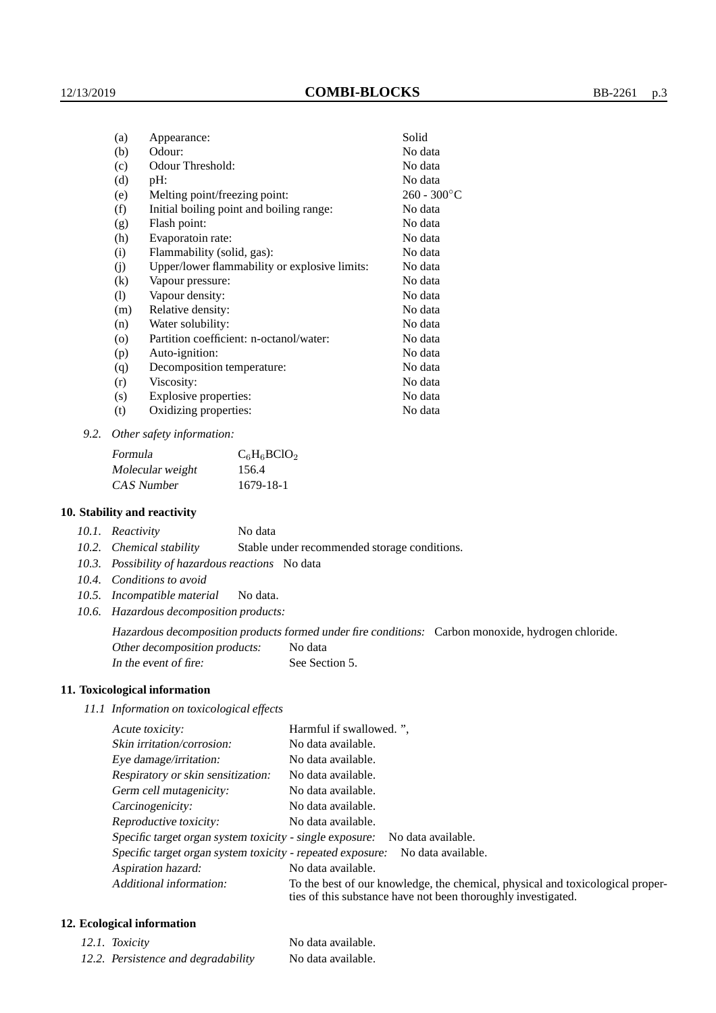| (a)                        | Appearance:                                   | Solid          |
|----------------------------|-----------------------------------------------|----------------|
| (b)                        | Odour:                                        | No data        |
| (c)                        | Odour Threshold:                              | No data        |
| (d)                        | $pH$ :                                        | No data        |
| (e)                        | Melting point/freezing point:                 | $260 - 300$ °C |
| (f)                        | Initial boiling point and boiling range:      | No data        |
| (g)                        | Flash point:                                  | No data        |
| (h)                        | Evaporatoin rate:                             | No data        |
| (i)                        | Flammability (solid, gas):                    | No data        |
| (j)                        | Upper/lower flammability or explosive limits: | No data        |
| $\left( k\right)$          | Vapour pressure:                              | No data        |
| $\left( \mathrm{l}\right)$ | Vapour density:                               | No data        |
| (m)                        | Relative density:                             | No data        |
| (n)                        | Water solubility:                             | No data        |
| $\circ$                    | Partition coefficient: n-octanol/water:       | No data        |
| (p)                        | Auto-ignition:                                | No data        |
| (q)                        | Decomposition temperature:                    | No data        |
| (r)                        | Viscosity:                                    | No data        |
| (s)                        | Explosive properties:                         | No data        |
| (t)                        | Oxidizing properties:                         | No data        |

*9.2. Other safety information:*

| Formula          | $C_6H_6BClO_2$ |
|------------------|----------------|
| Molecular weight | 156.4          |
| CAS Number       | 1679-18-1      |

### **10. Stability and reactivity**

|  | 10.1. Reactivity | No data |
|--|------------------|---------|
|--|------------------|---------|

*10.2. Chemical stability* Stable under recommended storage conditions.

- *10.3. Possibility of hazardous reactions* No data
- *10.4. Conditions to avoid*
- *10.5. Incompatible material* No data.
- *10.6. Hazardous decomposition products:*

Hazardous decomposition products formed under fire conditions: Carbon monoxide, hydrogen chloride. Other decomposition products: No data

In the event of fire: See Section 5.

### **11. Toxicological information**

*11.1 Information on toxicological effects*

| Acute toxicity:                                                                                                                                                            | Harmful if swallowed.", |  |  |
|----------------------------------------------------------------------------------------------------------------------------------------------------------------------------|-------------------------|--|--|
| Skin irritation/corrosion:                                                                                                                                                 | No data available.      |  |  |
| Eye damage/irritation:                                                                                                                                                     | No data available.      |  |  |
| Respiratory or skin sensitization:                                                                                                                                         | No data available.      |  |  |
| Germ cell mutagenicity:                                                                                                                                                    | No data available.      |  |  |
| Carcinogenicity:                                                                                                                                                           | No data available.      |  |  |
| Reproductive toxicity:                                                                                                                                                     | No data available.      |  |  |
| Specific target organ system toxicity - single exposure: No data available.                                                                                                |                         |  |  |
| Specific target organ system toxicity - repeated exposure:<br>No data available.                                                                                           |                         |  |  |
| Aspiration hazard:                                                                                                                                                         | No data available.      |  |  |
| Additional information:<br>To the best of our knowledge, the chemical, physical and toxicological proper-<br>ties of this substance have not been thoroughly investigated. |                         |  |  |

# **12. Ecological information**

| 12.1. Toxicity                      | No data available. |
|-------------------------------------|--------------------|
| 12.2. Persistence and degradability | No data available. |